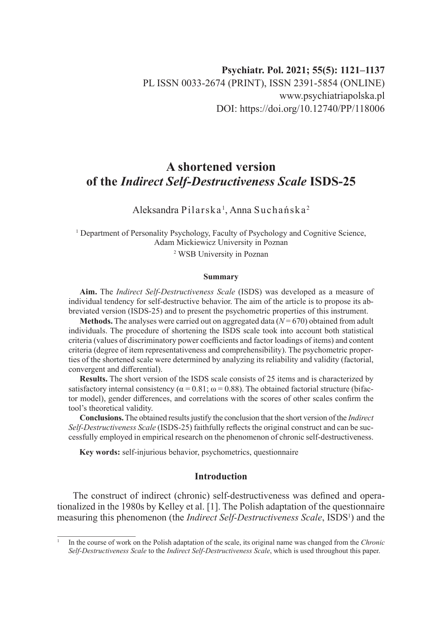# **A shortened version of the** *Indirect Self-Destructiveness Scale* **ISDS-25**

Aleksandra Pilarska<sup>1</sup>, Anna Suchańska<sup>2</sup>

<sup>1</sup> Department of Personality Psychology, Faculty of Psychology and Cognitive Science, Adam Mickiewicz University in Poznan

2 WSB University in Poznan

#### **Summary**

**Aim.** The *Indirect Self-Destructiveness Scale* (ISDS) was developed as a measure of individual tendency for self-destructive behavior. The aim of the article is to propose its abbreviated version (ISDS-25) and to present the psychometric properties of this instrument.

**Methods.** The analyses were carried out on aggregated data  $(N = 670)$  obtained from adult individuals. The procedure of shortening the ISDS scale took into account both statistical criteria (values of discriminatory power coefficients and factor loadings of items) and content criteria (degree of item representativeness and comprehensibility). The psychometric properties of the shortened scale were determined by analyzing its reliability and validity (factorial, convergent and differential).

**Results.** The short version of the ISDS scale consists of 25 items and is characterized by satisfactory internal consistency ( $\alpha = 0.81$ ;  $\omega = 0.88$ ). The obtained factorial structure (bifactor model), gender differences, and correlations with the scores of other scales confirm the tool's theoretical validity.

**Conclusions.** The obtained results justify the conclusion that the short version of the *Indirect Self-Destructiveness Scale* (ISDS-25) faithfully reflects the original construct and can be successfully employed in empirical research on the phenomenon of chronic self-destructiveness.

**Key words:** self-injurious behavior, psychometrics, questionnaire

## **Introduction**

The construct of indirect (chronic) self-destructiveness was defined and operationalized in the 1980s by Kelley et al. [1]. The Polish adaptation of the questionnaire measuring this phenomenon (the *Indirect Self-Destructiveness Scale*, ISDS<sup>1</sup>) and the

<sup>1</sup> In the course of work on the Polish adaptation of the scale, its original name was changed from the *Chronic Self-Destructiveness Scale* to the *Indirect Self-Destructiveness Scale*, which is used throughout this paper.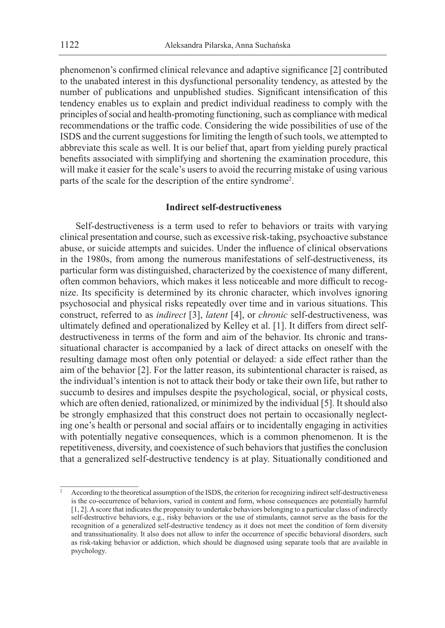phenomenon's confirmed clinical relevance and adaptive significance [2] contributed to the unabated interest in this dysfunctional personality tendency, as attested by the number of publications and unpublished studies. Significant intensification of this tendency enables us to explain and predict individual readiness to comply with the principles of social and health-promoting functioning, such as compliance with medical recommendations or the traffic code. Considering the wide possibilities of use of the ISDS and the current suggestions for limiting the length of such tools, we attempted to abbreviate this scale as well. It is our belief that, apart from yielding purely practical benefits associated with simplifying and shortening the examination procedure, this will make it easier for the scale's users to avoid the recurring mistake of using various parts of the scale for the description of the entire syndrome<sup>2</sup>.

## **Indirect self-destructiveness**

Self-destructiveness is a term used to refer to behaviors or traits with varying clinical presentation and course, such as excessive risk-taking, psychoactive substance abuse, or suicide attempts and suicides. Under the influence of clinical observations in the 1980s, from among the numerous manifestations of self-destructiveness, its particular form was distinguished, characterized by the coexistence of many different, often common behaviors, which makes it less noticeable and more difficult to recognize. Its specificity is determined by its chronic character, which involves ignoring psychosocial and physical risks repeatedly over time and in various situations. This construct, referred to as *indirect* [3], *latent* [4], or *chronic* self-destructiveness, was ultimately defined and operationalized by Kelley et al. [1]. It differs from direct selfdestructiveness in terms of the form and aim of the behavior. Its chronic and transsituational character is accompanied by a lack of direct attacks on oneself with the resulting damage most often only potential or delayed: a side effect rather than the aim of the behavior [2]. For the latter reason, its subintentional character is raised, as the individual's intention is not to attack their body or take their own life, but rather to succumb to desires and impulses despite the psychological, social, or physical costs, which are often denied, rationalized, or minimized by the individual [5]. It should also be strongly emphasized that this construct does not pertain to occasionally neglecting one's health or personal and social affairs or to incidentally engaging in activities with potentially negative consequences, which is a common phenomenon. It is the repetitiveness, diversity, and coexistence of such behaviors that justifies the conclusion that a generalized self-destructive tendency is at play. Situationally conditioned and

<sup>2</sup> According to the theoretical assumption of the ISDS, the criterion for recognizing indirect self-destructiveness is the co-occurrence of behaviors, varied in content and form, whose consequences are potentially harmful [1, 2]. A score that indicates the propensity to undertake behaviors belonging to a particular class of indirectly self-destructive behaviors, e.g., risky behaviors or the use of stimulants, cannot serve as the basis for the recognition of a generalized self-destructive tendency as it does not meet the condition of form diversity and transsituationality. It also does not allow to infer the occurrence of specific behavioral disorders, such as risk-taking behavior or addiction, which should be diagnosed using separate tools that are available in psychology.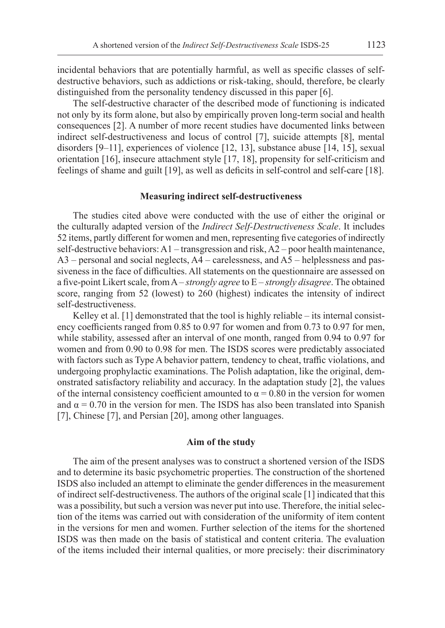incidental behaviors that are potentially harmful, as well as specific classes of selfdestructive behaviors, such as addictions or risk-taking, should, therefore, be clearly distinguished from the personality tendency discussed in this paper [6].

The self-destructive character of the described mode of functioning is indicated not only by its form alone, but also by empirically proven long-term social and health consequences [2]. A number of more recent studies have documented links between indirect self-destructiveness and locus of control [7], suicide attempts [8], mental disorders [9–11], experiences of violence [12, 13], substance abuse [14, 15], sexual orientation [16], insecure attachment style [17, 18], propensity for self-criticism and feelings of shame and guilt [19], as well as deficits in self-control and self-care [18].

#### **Measuring indirect self-destructiveness**

The studies cited above were conducted with the use of either the original or the culturally adapted version of the *Indirect Self-Destructiveness Scale*. It includes 52 items, partly different for women and men, representing five categories of indirectly self-destructive behaviors:  $A1$  – transgression and risk,  $A2$  – poor health maintenance,  $A3$  – personal and social neglects,  $A4$  – carelessness, and  $A5$  – helplessness and passiveness in the face of difficulties. All statements on the questionnaire are assessed on a five-point Likert scale, from A – *strongly agree* to E – *strongly disagree*. The obtained score, ranging from 52 (lowest) to 260 (highest) indicates the intensity of indirect self-destructiveness.

Kelley et al. [1] demonstrated that the tool is highly reliable – its internal consistency coefficients ranged from 0.85 to 0.97 for women and from 0.73 to 0.97 for men, while stability, assessed after an interval of one month, ranged from 0.94 to 0.97 for women and from 0.90 to 0.98 for men. The ISDS scores were predictably associated with factors such as Type A behavior pattern, tendency to cheat, traffic violations, and undergoing prophylactic examinations. The Polish adaptation, like the original, demonstrated satisfactory reliability and accuracy. In the adaptation study [2], the values of the internal consistency coefficient amounted to  $\alpha = 0.80$  in the version for women and  $\alpha = 0.70$  in the version for men. The ISDS has also been translated into Spanish [7], Chinese [7], and Persian [20], among other languages.

### **Aim of the study**

The aim of the present analyses was to construct a shortened version of the ISDS and to determine its basic psychometric properties. The construction of the shortened ISDS also included an attempt to eliminate the gender differences in the measurement of indirect self-destructiveness. The authors of the original scale [1] indicated that this was a possibility, but such a version was never put into use. Therefore, the initial selection of the items was carried out with consideration of the uniformity of item content in the versions for men and women. Further selection of the items for the shortened ISDS was then made on the basis of statistical and content criteria. The evaluation of the items included their internal qualities, or more precisely: their discriminatory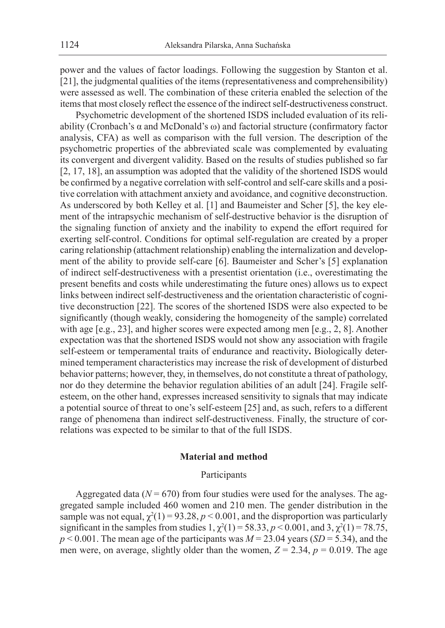power and the values of factor loadings. Following the suggestion by Stanton et al. [21], the judgmental qualities of the items (representativeness and comprehensibility) were assessed as well. The combination of these criteria enabled the selection of the items that most closely reflect the essence of the indirect self-destructiveness construct.

Psychometric development of the shortened ISDS included evaluation of its reliability (Cronbach's α and McDonald's ω) and factorial structure (confirmatory factor analysis, CFA) as well as comparison with the full version. The description of the psychometric properties of the abbreviated scale was complemented by evaluating its convergent and divergent validity. Based on the results of studies published so far [2, 17, 18], an assumption was adopted that the validity of the shortened ISDS would be confirmed by a negative correlation with self-control and self-care skills and a positive correlation with attachment anxiety and avoidance, and cognitive deconstruction. As underscored by both Kelley et al. [1] and Baumeister and Scher [5], the key element of the intrapsychic mechanism of self-destructive behavior is the disruption of the signaling function of anxiety and the inability to expend the effort required for exerting self-control. Conditions for optimal self-regulation are created by a proper caring relationship (attachment relationship) enabling the internalization and development of the ability to provide self-care [6]. Baumeister and Scher's [5] explanation of indirect self-destructiveness with a presentist orientation (i.e., overestimating the present benefits and costs while underestimating the future ones) allows us to expect links between indirect self-destructiveness and the orientation characteristic of cognitive deconstruction [22]. The scores of the shortened ISDS were also expected to be significantly (though weakly, considering the homogeneity of the sample) correlated with age [e.g., 23], and higher scores were expected among men [e.g., 2, 8]. Another expectation was that the shortened ISDS would not show any association with fragile self-esteem or temperamental traits of endurance and reactivity**.** Biologically determined temperament characteristics may increase the risk of development of disturbed behavior patterns; however, they, in themselves, do not constitute a threat of pathology, nor do they determine the behavior regulation abilities of an adult [24]. Fragile selfesteem, on the other hand, expresses increased sensitivity to signals that may indicate a potential source of threat to one's self-esteem [25] and, as such, refers to a different range of phenomena than indirect self-destructiveness. Finally, the structure of correlations was expected to be similar to that of the full ISDS.

## **Material and method**

### Participants

Aggregated data  $(N = 670)$  from four studies were used for the analyses. The aggregated sample included 460 women and 210 men. The gender distribution in the sample was not equal,  $\chi^2(1) = 93.28, p < 0.001$ , and the disproportion was particularly significant in the samples from studies  $1, \chi^2(1) = 58.33, p < 0.001$ , and  $3, \chi^2(1) = 78.75$ ,  $p < 0.001$ . The mean age of the participants was  $M = 23.04$  years (*SD* = 5.34), and the men were, on average, slightly older than the women,  $Z = 2.34$ ,  $p = 0.019$ . The age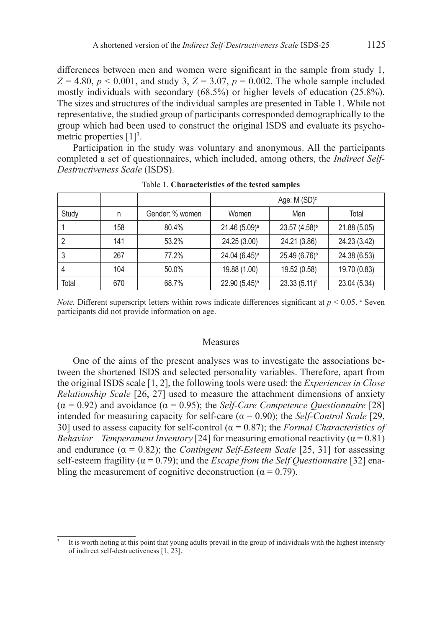differences between men and women were significant in the sample from study 1,  $Z = 4.80, p < 0.001$ , and study 3,  $Z = 3.07, p = 0.002$ . The whole sample included mostly individuals with secondary (68.5%) or higher levels of education (25.8%). The sizes and structures of the individual samples are presented in Table 1. While not representative, the studied group of participants corresponded demographically to the group which had been used to construct the original ISDS and evaluate its psychometric properties  $[1]^3$ .

Participation in the study was voluntary and anonymous. All the participants completed a set of questionnaires, which included, among others, the *Indirect Self-Destructiveness Scale* (ISDS).

|       |     |                 | Age: $M(SD)^c$            |                           |              |
|-------|-----|-----------------|---------------------------|---------------------------|--------------|
| Study | n   | Gender: % women | Women                     | Men                       | Total        |
|       | 158 | 80.4%           | 21.46 (5.09) <sup>a</sup> | 23.57 (4.58) <sup>b</sup> | 21.88 (5.05) |
|       | 141 | 53.2%           | 24.25 (3.00)              | 24.21 (3.86)              | 24.23 (3.42) |
| 3     | 267 | 77.2%           | 24.04 (6.45) <sup>a</sup> | $25.49(6.76)^b$           | 24.38 (6.53) |
| 4     | 104 | 50.0%           | 19.88 (1.00)              | 19.52 (0.58)              | 19.70 (0.83) |
| Total | 670 | 68.7%           | 22.90 (5.45) <sup>a</sup> | $23.33(5.11)^{b}$         | 23.04 (5.34) |

Table 1. **Characteristics of the tested samples**

*Note.* Different superscript letters within rows indicate differences significant at  $p < 0.05$ . Ceven participants did not provide information on age.

#### Measures

One of the aims of the present analyses was to investigate the associations between the shortened ISDS and selected personality variables. Therefore, apart from the original ISDS scale [1, 2], the following tools were used: the *Experiences in Close Relationship Scale* [26, 27] used to measure the attachment dimensions of anxiety  $(\alpha = 0.92)$  and avoidance  $(\alpha = 0.95)$ ; the *Self-Care Competence Questionnaire* [28] intended for measuring capacity for self-care  $(\alpha = 0.90)$ ; the *Self-Control Scale* [29, 30] used to assess capacity for self-control ( $\alpha$  = 0.87); the *Formal Characteristics of Behavior – Temperament Inventory* [24] for measuring emotional reactivity ( $\alpha$  = 0.81) and endurance  $(\alpha = 0.82)$ ; the *Contingent Self-Esteem Scale* [25, 31] for assessing self‑esteem fragility (α = 0.79); and the *Escape from the Self Questionnaire* [32] enabling the measurement of cognitive deconstruction ( $\alpha = 0.79$ ).

It is worth noting at this point that young adults prevail in the group of individuals with the highest intensity of indirect self-destructiveness [1, 23].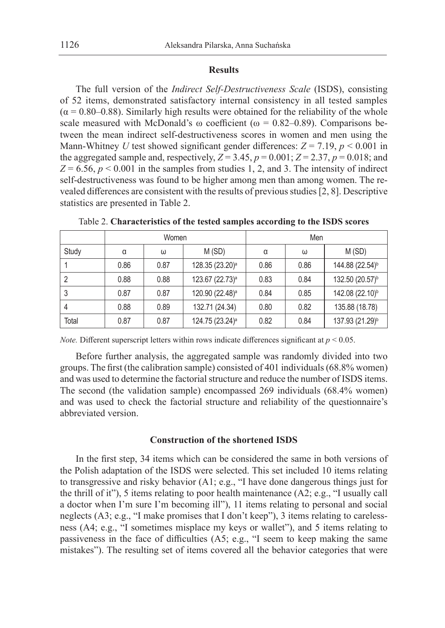## **Results**

The full version of the *Indirect Self-Destructiveness Scale* (ISDS), consisting of 52 items, demonstrated satisfactory internal consistency in all tested samples  $(\alpha = 0.80 - 0.88)$ . Similarly high results were obtained for the reliability of the whole scale measured with McDonald's  $\omega$  coefficient ( $\omega = 0.82$ –0.89). Comparisons between the mean indirect self-destructiveness scores in women and men using the Mann-Whitney *U* test showed significant gender differences:  $Z = 7.19$ ,  $p < 0.001$  in the aggregated sample and, respectively,  $Z = 3.45$ ,  $p = 0.001$ ;  $Z = 2.37$ ,  $p = 0.018$ ; and  $Z = 6.56$ ,  $p < 0.001$  in the samples from studies 1, 2, and 3. The intensity of indirect self-destructiveness was found to be higher among men than among women. The revealed differences are consistent with the results of previous studies [2, 8]. Descriptive statistics are presented in Table 2.

|       | Women |      |                             | Men  |      |                             |
|-------|-------|------|-----------------------------|------|------|-----------------------------|
| Study | α     | ω    | M(SD)                       | α    | ω    | M(SD)                       |
|       | 0.86  | 0.87 | 128.35 (23.20) <sup>a</sup> | 0.86 | 0.86 | 144.88 (22.54) <sup>b</sup> |
|       | 0.88  | 0.88 | 123.67 (22.73) <sup>a</sup> | 0.83 | 0.84 | 132.50 (20.57) <sup>b</sup> |
| 3     | 0.87  | 0.87 | 120.90 (22.48) <sup>a</sup> | 0.84 | 0.85 | 142.08 (22.10) <sup>b</sup> |
| 4     | 0.88  | 0.89 | 132.71 (24.34)              | 0.80 | 0.82 | 135.88 (18.78)              |
| Total | 0.87  | 0.87 | 124.75 (23.24) <sup>a</sup> | 0.82 | 0.84 | 137.93 (21.29) <sup>b</sup> |

Table 2. **Characteristics of the tested samples according to the ISDS scores**

*Note.* Different superscript letters within rows indicate differences significant at  $p < 0.05$ .

Before further analysis, the aggregated sample was randomly divided into two groups. The first (the calibration sample) consisted of 401 individuals (68.8% women) and was used to determine the factorial structure and reduce the number of ISDS items. The second (the validation sample) encompassed 269 individuals (68.4% women) and was used to check the factorial structure and reliability of the questionnaire's abbreviated version.

#### **Construction of the shortened ISDS**

In the first step, 34 items which can be considered the same in both versions of the Polish adaptation of the ISDS were selected. This set included 10 items relating to transgressive and risky behavior (A1; e.g., "I have done dangerous things just for the thrill of it"), 5 items relating to poor health maintenance (A2; e.g., "I usually call a doctor when I'm sure I'm becoming ill"), 11 items relating to personal and social neglects (A3; e.g., "I make promises that I don't keep"), 3 items relating to carelessness (A4; e.g., "I sometimes misplace my keys or wallet"), and 5 items relating to passiveness in the face of difficulties (A5; e.g., "I seem to keep making the same mistakes"). The resulting set of items covered all the behavior categories that were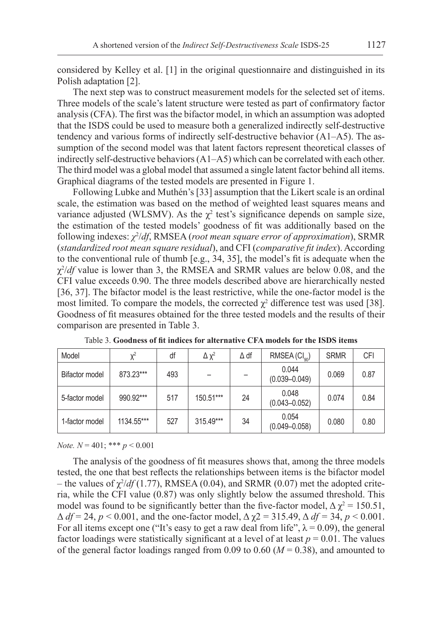considered by Kelley et al. [1] in the original questionnaire and distinguished in its Polish adaptation [2].

The next step was to construct measurement models for the selected set of items. Three models of the scale's latent structure were tested as part of confirmatory factor analysis (CFA). The first was the bifactor model, in which an assumption was adopted that the ISDS could be used to measure both a generalized indirectly self-destructive tendency and various forms of indirectly self-destructive behavior (A1–A5). The assumption of the second model was that latent factors represent theoretical classes of indirectly self-destructive behaviors (A1–A5) which can be correlated with each other. The third model was a global model that assumed a single latent factor behind all items. Graphical diagrams of the tested models are presented in Figure 1.

Following Lubke and Muthén's [33] assumption that the Likert scale is an ordinal scale, the estimation was based on the method of weighted least squares means and variance adjusted (WLSMV). As the  $\chi^2$  test's significance depends on sample size, the estimation of the tested models' goodness of fit was additionally based on the following indexes: *χ*<sup>2</sup> /*df*, RMSEA (*root mean square error of approximation*), SRMR (*standardized root mean square residual*), and CFI (*comparative fit index*). According to the conventional rule of thumb [e.g., 34, 35], the model's fit is adequate when the χ2 /*df* value is lower than 3, the RMSEA and SRMR values are below 0.08, and the CFI value exceeds 0.90. The three models described above are hierarchically nested [36, 37]. The bifactor model is the least restrictive, while the one-factor model is the most limited. To compare the models, the corrected  $\chi^2$  difference test was used [38]. Goodness of fit measures obtained for the three tested models and the results of their comparison are presented in Table 3.

| Model                 | $X^2$      | df  | $\Delta$ $\chi^2$ | $\Delta$ df | RMSEA (Cl <sub>on</sub> )  | <b>SRMR</b> | CFI  |
|-----------------------|------------|-----|-------------------|-------------|----------------------------|-------------|------|
| <b>Bifactor model</b> | 873.23***  | 493 |                   |             | 0.044<br>$(0.039 - 0.049)$ | 0.069       | 0.87 |
| 5-factor model        | 990.92***  | 517 | 150.51***         | 24          | 0.048<br>$(0.043 - 0.052)$ | 0.074       | 0.84 |
| 1-factor model        | 1134.55*** | 527 | 315.49***         | 34          | 0.054<br>$(0.049 - 0.058)$ | 0.080       | 0.80 |

Table 3. **Goodness of fit indices for alternative CFA models for the ISDS items**

*Note. N* = 401; \*\*\* *p* < 0.001

The analysis of the goodness of fit measures shows that, among the three models tested, the one that best reflects the relationships between items is the bifactor model  $-$  the values of  $\chi^2/df(1.77)$ , RMSEA (0.04), and SRMR (0.07) met the adopted criteria, while the CFI value (0.87) was only slightly below the assumed threshold. This model was found to be significantly better than the five-factor model,  $\Delta \chi^2 = 150.51$ ,  $\Delta df = 24$ ,  $p < 0.001$ , and the one-factor model,  $\Delta \chi^2 = 315.49$ ,  $\Delta df = 34$ ,  $p < 0.001$ . For all items except one ("It's easy to get a raw deal from life",  $\lambda = 0.09$ ), the general factor loadings were statistically significant at a level of at least  $p = 0.01$ . The values of the general factor loadings ranged from 0.09 to 0.60 ( $M = 0.38$ ), and amounted to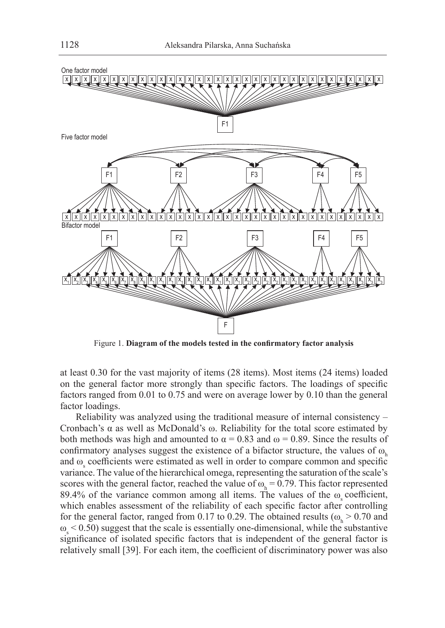

Figure 1. **Diagram of the models tested in the confirmatory factor analysis**

at least 0.30 for the vast majority of items (28 items). Most items (24 items) loaded on the general factor more strongly than specific factors. The loadings of specific factors ranged from 0.01 to 0.75 and were on average lower by 0.10 than the general factor loadings.

Reliability was analyzed using the traditional measure of internal consistency – Cronbach's α as well as McDonald's ω. Reliability for the total score estimated by both methods was high and amounted to  $\alpha = 0.83$  and  $\omega = 0.89$ . Since the results of confirmatory analyses suggest the existence of a bifactor structure, the values of  $\omega_{h}$ and  $\omega$ <sub>s</sub> coefficients were estimated as well in order to compare common and specific variance. The value of the hierarchical omega, representing the saturation of the scale's scores with the general factor, reached the value of  $\omega_h = 0.79$ . This factor represented 89.4% of the variance common among all items. The values of the  $\omega$  coefficient, which enables assessment of the reliability of each specific factor after controlling for the general factor, ranged from 0.17 to 0.29. The obtained results ( $\omega_h > 0.70$  and  $\omega$ <sub>s</sub> < 0.50) suggest that the scale is essentially one-dimensional, while the substantive significance of isolated specific factors that is independent of the general factor is relatively small [39]. For each item, the coefficient of discriminatory power was also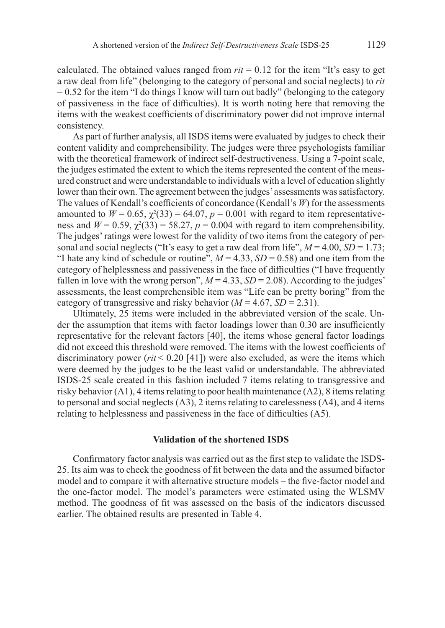calculated. The obtained values ranged from  $rit = 0.12$  for the item "It's easy to get a raw deal from life" (belonging to the category of personal and social neglects) to *rit*  $= 0.52$  for the item "I do things I know will turn out badly" (belonging to the category of passiveness in the face of difficulties). It is worth noting here that removing the items with the weakest coefficients of discriminatory power did not improve internal consistency.

As part of further analysis, all ISDS items were evaluated by judges to check their content validity and comprehensibility. The judges were three psychologists familiar with the theoretical framework of indirect self-destructiveness. Using a 7-point scale, the judges estimated the extent to which the items represented the content of the measured construct and were understandable to individuals with a level of education slightly lower than their own. The agreement between the judges' assessments was satisfactory. The values of Kendall's coefficients of concordance (Kendall's *W*) for the assessments amounted to  $W = 0.65$ ,  $\chi^2(33) = 64.07$ ,  $p = 0.001$  with regard to item representativeness and  $W = 0.59$ ,  $\chi^2(33) = 58.27$ ,  $p = 0.004$  with regard to item comprehensibility. The judges' ratings were lowest for the validity of two items from the category of personal and social neglects ("It's easy to get a raw deal from life",  $M = 4.00$ ,  $SD = 1.73$ ; "I hate any kind of schedule or routine",  $M = 4.33$ ,  $SD = 0.58$ ) and one item from the category of helplessness and passiveness in the face of difficulties ("I have frequently fallen in love with the wrong person",  $M = 4.33$ ,  $SD = 2.08$ ). According to the judges' assessments, the least comprehensible item was "Life can be pretty boring" from the category of transgressive and risky behavior  $(M = 4.67, SD = 2.31)$ .

Ultimately, 25 items were included in the abbreviated version of the scale. Under the assumption that items with factor loadings lower than 0.30 are insufficiently representative for the relevant factors [40], the items whose general factor loadings did not exceed this threshold were removed. The items with the lowest coefficients of discriminatory power (*rit* < 0.20 [41]) were also excluded, as were the items which were deemed by the judges to be the least valid or understandable. The abbreviated ISDS-25 scale created in this fashion included 7 items relating to transgressive and risky behavior (A1), 4 items relating to poor health maintenance (A2), 8 items relating to personal and social neglects (A3), 2 items relating to carelessness (A4), and 4 items relating to helplessness and passiveness in the face of difficulties (A5).

#### **Validation of the shortened ISDS**

Confirmatory factor analysis was carried out as the first step to validate the ISDS-25. Its aim was to check the goodness of fit between the data and the assumed bifactor model and to compare it with alternative structure models – the five-factor model and the one-factor model. The model's parameters were estimated using the WLSMV method. The goodness of fit was assessed on the basis of the indicators discussed earlier. The obtained results are presented in Table 4.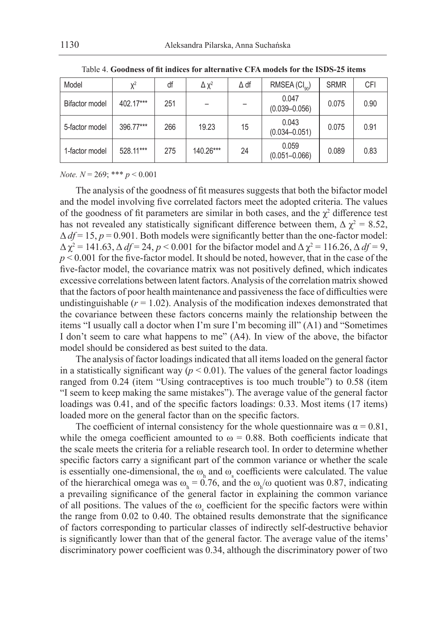| Model                 | $X^2$     | df  | $\Delta \chi^2$ | $\Delta$ df | RMSEA (Cl <sub>on</sub> )  | <b>SRMR</b> | <b>CFI</b> |
|-----------------------|-----------|-----|-----------------|-------------|----------------------------|-------------|------------|
| <b>Bifactor model</b> | 402.17*** | 251 |                 |             | 0.047<br>$(0.039 - 0.056)$ | 0.075       | 0.90       |
| 5-factor model        | 396.77*** | 266 | 19.23           | 15          | 0.043<br>$(0.034 - 0.051)$ | 0.075       | 0.91       |
| 1-factor model        | 528.11*** | 275 | 140.26***       | 24          | 0.059<br>$(0.051 - 0.066)$ | 0.089       | 0.83       |

Table 4. **Goodness of fit indices for alternative CFA models for the ISDS-25 items**

*Note. N* = 269; \*\*\* *p* < 0.001

The analysis of the goodness of fit measures suggests that both the bifactor model and the model involving five correlated factors meet the adopted criteria. The values of the goodness of fit parameters are similar in both cases, and the  $\chi^2$  difference test has not revealed any statistically significant difference between them,  $\Delta \chi^2 = 8.52$ ,  $\Delta df = 15$ ,  $p = 0.901$ . Both models were significantly better than the one-factor model:  $\Delta \chi^2 = 141.63$ ,  $\Delta df = 24$ ,  $p < 0.001$  for the bifactor model and  $\Delta \chi^2 = 116.26$ ,  $\Delta df = 9$ ,  $p < 0.001$  for the five-factor model. It should be noted, however, that in the case of the five-factor model, the covariance matrix was not positively defined, which indicates excessive correlations between latent factors. Analysis of the correlation matrix showed that the factors of poor health maintenance and passiveness the face of difficulties were undistinguishable  $(r = 1.02)$ . Analysis of the modification indexes demonstrated that the covariance between these factors concerns mainly the relationship between the items "I usually call a doctor when I'm sure I'm becoming ill" (A1) and "Sometimes I don't seem to care what happens to me" (A4). In view of the above, the bifactor model should be considered as best suited to the data.

The analysis of factor loadings indicated that all items loaded on the general factor in a statistically significant way ( $p < 0.01$ ). The values of the general factor loadings ranged from 0.24 (item "Using contraceptives is too much trouble") to 0.58 (item "I seem to keep making the same mistakes"). The average value of the general factor loadings was 0.41, and of the specific factors loadings: 0.33. Most items (17 items) loaded more on the general factor than on the specific factors.

The coefficient of internal consistency for the whole questionnaire was  $\alpha = 0.81$ , while the omega coefficient amounted to  $\omega = 0.88$ . Both coefficients indicate that the scale meets the criteria for a reliable research tool. In order to determine whether specific factors carry a significant part of the common variance or whether the scale is essentially one-dimensional, the  $\omega_h$  and  $\omega_s$  coefficients were calculated. The value of the hierarchical omega was  $\omega_h = 0.76$ , and the  $\omega_h/\omega$  quotient was 0.87, indicating a prevailing significance of the general factor in explaining the common variance of all positions. The values of the  $\omega_s$  coefficient for the specific factors were within the range from 0.02 to 0.40. The obtained results demonstrate that the significance of factors corresponding to particular classes of indirectly self-destructive behavior is significantly lower than that of the general factor. The average value of the items' discriminatory power coefficient was 0.34, although the discriminatory power of two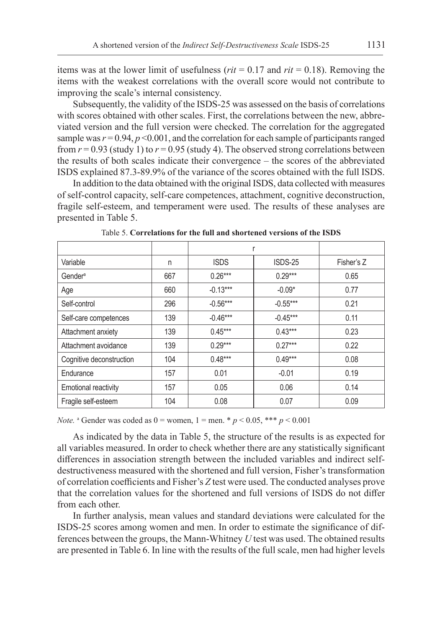items was at the lower limit of usefulness (*rit* = 0.17 and *rit* = 0.18). Removing the items with the weakest correlations with the overall score would not contribute to improving the scale's internal consistency.

Subsequently, the validity of the ISDS-25 was assessed on the basis of correlations with scores obtained with other scales. First, the correlations between the new, abbreviated version and the full version were checked. The correlation for the aggregated sample was  $r = 0.94$ ,  $p \le 0.001$ , and the correlation for each sample of participants ranged from  $r = 0.93$  (study 1) to  $r = 0.95$  (study 4). The observed strong correlations between the results of both scales indicate their convergence – the scores of the abbreviated ISDS explained 87.3-89.9% of the variance of the scores obtained with the full ISDS.

In addition to the data obtained with the original ISDS, data collected with measures of self-control capacity, self-care competences, attachment, cognitive deconstruction, fragile self-esteem, and temperament were used. The results of these analyses are presented in Table 5.

| Variable                    | n   | <b>ISDS</b> | ISDS-25    | Fisher's Z |
|-----------------------------|-----|-------------|------------|------------|
| Gender <sup>a</sup>         | 667 | $0.26***$   | $0.29***$  | 0.65       |
| Age                         | 660 | $-0.13***$  | $-0.09*$   | 0.77       |
| Self-control                | 296 | $-0.56***$  | $-0.55***$ | 0.21       |
| Self-care competences       | 139 | $-0.46***$  | $-0.45***$ | 0.11       |
| Attachment anxiety          | 139 | $0.45***$   | $0.43***$  | 0.23       |
| Attachment avoidance        | 139 | $0.29***$   | $0.27***$  | 0.22       |
| Cognitive deconstruction    | 104 | $0.48***$   | $0.49***$  | 0.08       |
| Endurance                   | 157 | 0.01        | $-0.01$    | 0.19       |
| <b>Emotional reactivity</b> | 157 | 0.05        | 0.06       | 0.14       |
| Fraqile self-esteem         | 104 | 0.08        | 0.07       | 0.09       |

Table 5. **Correlations for the full and shortened versions of the ISDS**

*Note.* a Gender was coded as  $0 =$  women,  $1 =$  men. \*  $p < 0.05$ , \*\*\*  $p < 0.001$ 

As indicated by the data in Table 5, the structure of the results is as expected for all variables measured. In order to check whether there are any statistically significant differences in association strength between the included variables and indirect selfdestructiveness measured with the shortened and full version, Fisher's transformation of correlation coefficients and Fisher's *Z* test were used. The conducted analyses prove that the correlation values for the shortened and full versions of ISDS do not differ from each other.

In further analysis, mean values and standard deviations were calculated for the ISDS-25 scores among women and men. In order to estimate the significance of differences between the groups, the Mann-Whitney *U* test was used. The obtained results are presented in Table 6. In line with the results of the full scale, men had higher levels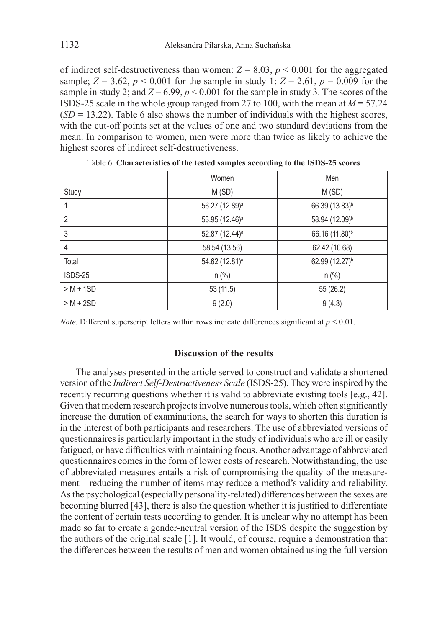of indirect self-destructiveness than women:  $Z = 8.03$ ,  $p < 0.001$  for the aggregated sample;  $Z = 3.62$ ,  $p < 0.001$  for the sample in study 1;  $Z = 2.61$ ,  $p = 0.009$  for the sample in study 2; and  $Z = 6.99$ ,  $p < 0.001$  for the sample in study 3. The scores of the ISDS-25 scale in the whole group ranged from 27 to 100, with the mean at *M* = 57.24  $(SD = 13.22)$ . Table 6 also shows the number of individuals with the highest scores, with the cut-off points set at the values of one and two standard deviations from the mean. In comparison to women, men were more than twice as likely to achieve the highest scores of indirect self-destructiveness.

|                | Women                      | Men                        |
|----------------|----------------------------|----------------------------|
| Study          | M(SD)                      | M(SD)                      |
|                | 56.27 (12.89) <sup>a</sup> | 66.39 (13.83) <sup>b</sup> |
| $\overline{2}$ | 53.95 (12.46) <sup>a</sup> | 58.94 (12.09) <sup>b</sup> |
| 3              | 52.87 (12.44) <sup>a</sup> | 66.16 (11.80) <sup>b</sup> |
| 4              | 58.54 (13.56)              | 62.42 (10.68)              |
| Total          | 54.62 (12.81) <sup>a</sup> | 62.99 (12.27) <sup>b</sup> |
| ISDS-25        | $n$ (%)                    | $n$ (%)                    |
| $> M + 1SD$    | 53 (11.5)                  | 55 (26.2)                  |
| $> M + 2SD$    | 9(2.0)                     | 9(4.3)                     |

*Note.* Different superscript letters within rows indicate differences significant at  $p < 0.01$ .

### **Discussion of the results**

The analyses presented in the article served to construct and validate a shortened version of the *Indirect Self-Destructiveness Scale* (ISDS-25). They were inspired by the recently recurring questions whether it is valid to abbreviate existing tools [e.g., 42]. Given that modern research projects involve numerous tools, which often significantly increase the duration of examinations, the search for ways to shorten this duration is in the interest of both participants and researchers. The use of abbreviated versions of questionnaires is particularly important in the study of individuals who are ill or easily fatigued, or have difficulties with maintaining focus. Another advantage of abbreviated questionnaires comes in the form of lower costs of research. Notwithstanding, the use of abbreviated measures entails a risk of compromising the quality of the measurement – reducing the number of items may reduce a method's validity and reliability. As the psychological (especially personality-related) differences between the sexes are becoming blurred [43], there is also the question whether it is justified to differentiate the content of certain tests according to gender. It is unclear why no attempt has been made so far to create a gender-neutral version of the ISDS despite the suggestion by the authors of the original scale [1]. It would, of course, require a demonstration that the differences between the results of men and women obtained using the full version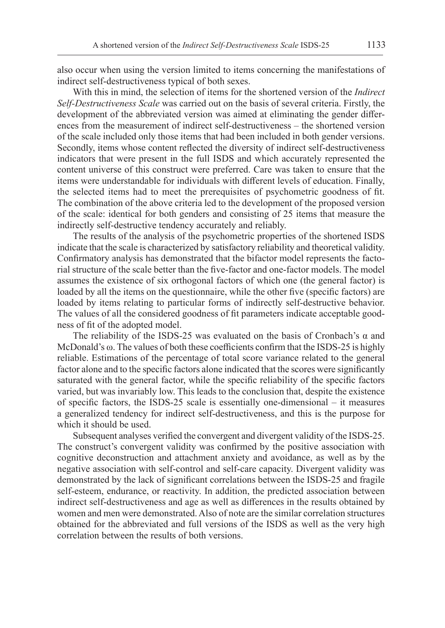also occur when using the version limited to items concerning the manifestations of indirect self-destructiveness typical of both sexes.

With this in mind, the selection of items for the shortened version of the *Indirect Self-Destructiveness Scale* was carried out on the basis of several criteria. Firstly, the development of the abbreviated version was aimed at eliminating the gender differences from the measurement of indirect self-destructiveness – the shortened version of the scale included only those items that had been included in both gender versions. Secondly, items whose content reflected the diversity of indirect self-destructiveness indicators that were present in the full ISDS and which accurately represented the content universe of this construct were preferred. Care was taken to ensure that the items were understandable for individuals with different levels of education. Finally, the selected items had to meet the prerequisites of psychometric goodness of fit. The combination of the above criteria led to the development of the proposed version of the scale: identical for both genders and consisting of 25 items that measure the indirectly self-destructive tendency accurately and reliably.

The results of the analysis of the psychometric properties of the shortened ISDS indicate that the scale is characterized by satisfactory reliability and theoretical validity. Confirmatory analysis has demonstrated that the bifactor model represents the factorial structure of the scale better than the five-factor and one-factor models. The model assumes the existence of six orthogonal factors of which one (the general factor) is loaded by all the items on the questionnaire, while the other five (specific factors) are loaded by items relating to particular forms of indirectly self-destructive behavior. The values of all the considered goodness of fit parameters indicate acceptable goodness of fit of the adopted model.

The reliability of the ISDS-25 was evaluated on the basis of Cronbach's α and McDonald's ω. The values of both these coefficients confirm that the ISDS-25 is highly reliable. Estimations of the percentage of total score variance related to the general factor alone and to the specific factors alone indicated that the scores were significantly saturated with the general factor, while the specific reliability of the specific factors varied, but was invariably low. This leads to the conclusion that, despite the existence of specific factors, the ISDS-25 scale is essentially one-dimensional – it measures a generalized tendency for indirect self-destructiveness, and this is the purpose for which it should be used.

Subsequent analyses verified the convergent and divergent validity of the ISDS-25. The construct's convergent validity was confirmed by the positive association with cognitive deconstruction and attachment anxiety and avoidance, as well as by the negative association with self-control and self-care capacity. Divergent validity was demonstrated by the lack of significant correlations between the ISDS-25 and fragile self-esteem, endurance, or reactivity. In addition, the predicted association between indirect self-destructiveness and age as well as differences in the results obtained by women and men were demonstrated. Also of note are the similar correlation structures obtained for the abbreviated and full versions of the ISDS as well as the very high correlation between the results of both versions.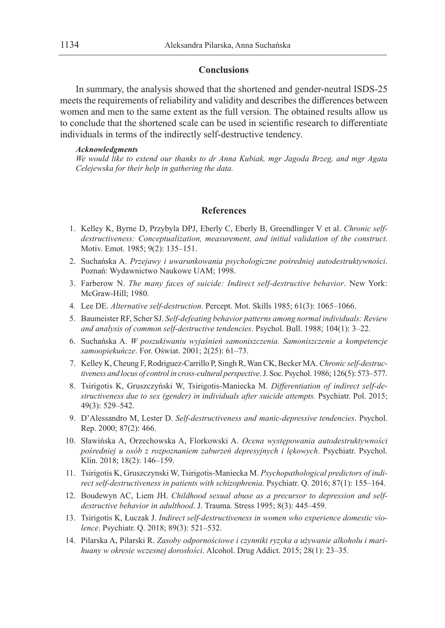### **Conclusions**

In summary, the analysis showed that the shortened and gender-neutral ISDS-25 meets the requirements of reliability and validity and describes the differences between women and men to the same extent as the full version. The obtained results allow us to conclude that the shortened scale can be used in scientific research to differentiate individuals in terms of the indirectly self-destructive tendency.

#### *Acknowledgments*

*We would like to extend our thanks to dr Anna Kubiak, mgr Jagoda Brzeg, and mgr Agata Celejewska for their help in gathering the data.*

## **References**

- 1. Kelley K, Byrne D, Przybyla DPJ, Eberly C, Eberly B, Greendlinger V et al. *Chronic selfdestructiveness: Conceptualization, measurement, and initial validation of the construct*. Motiv. Emot. 1985; 9(2): 135–151.
- 2. Suchańska A. *Przejawy i uwarunkowania psychologiczne pośredniej autodestruktywności*. Poznań: Wydawnictwo Naukowe UAM; 1998.
- 3. Farberow N. *The many faces of suicide: Indirect self-destructive behavior*. New York: McGraw-Hill; 1980.
- 4. Lee DE. *Alternative self-destruction*. Percept. Mot. Skills 1985; 61(3): 1065–1066.
- 5. Baumeister RF, Scher SJ. *Self-defeating behavior patterns among normal individuals: Review and analysis of common self-destructive tendencies*. Psychol. Bull. 1988; 104(1): 3–22.
- 6. Suchańska A. *W poszukiwaniu wyjaśnień samoniszczenia. Samoniszczenie a kompetencje samoopiekuńcze*. For. Oświat. 2001; 2(25): 61–73.
- 7. Kelley K, Cheung F, Rodriguez-Carrillo P, Singh R, Wan CK, Becker MA. *Chronic self-destructiveness and locus of control in cross-cultural perspective*. J. Soc. Psychol. 1986; 126(5): 573–577.
- 8. Tsirigotis K, Gruszczyński W, Tsirigotis-Maniecka M. *Differentiation of indirect self-destructiveness due to sex (gender) in individuals after suicide attempts.* Psychiatr. Pol. 2015; 49(3): 529–542.
- 9. D'Alessandro M, Lester D. *Self-destructiveness and manic-depressive tendencies*. Psychol. Rep. 2000; 87(2): 466.
- 10. Sławińska A, Orzechowska A, Florkowski A. *Ocena występowania autodestruktywności pośredniej u osób z rozpoznaniem zaburzeń depresyjnych i lękowych*. Psychiatr. Psychol. Klin. 2018; 18(2): 146–159.
- 11. Tsirigotis K, Gruszczynski W, Tsirigotis-Maniecka M. *Psychopathological predictors of indirect self-destructiveness in patients with schizophrenia*. Psychiatr. Q. 2016; 87(1): 155–164.
- 12. Boudewyn AC, Liem JH. *Childhood sexual abuse as a precursor to depression and selfdestructive behavior in adulthood*. J. Trauma. Stress 1995; 8(3): 445–459.
- 13. Tsirigotis K, Łuczak J. *Indirect self-destructiveness in women who experience domestic violence*. Psychiatr. Q. 2018; 89(3): 521–532.
- 14. Pilarska A, Pilarski R. *Zasoby odpornościowe i czynniki ryzyka a używanie alkoholu i marihuany w okresie wczesnej dorosłości*. Alcohol. Drug Addict. 2015; 28(1): 23–35.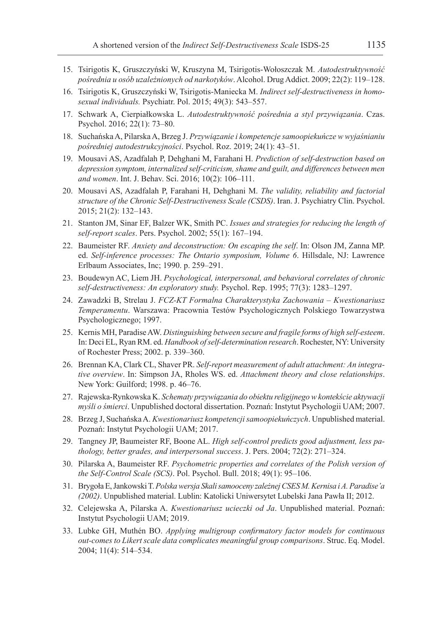- 15. Tsirigotis K, Gruszczyński W, Kruszyna M, Tsirigotis-Wołoszczak M. *Autodestruktywność pośrednia u osób uzależnionych od narkotyków*. Alcohol. Drug Addict. 2009; 22(2): 119–128.
- 16. Tsirigotis K, Gruszczyński W, Tsirigotis-Maniecka M. *Indirect self-destructiveness in homosexual individuals.* Psychiatr. Pol. 2015; 49(3): 543–557.
- 17. Schwark A, Cierpiałkowska L. *Autodestruktywność pośrednia a styl przywiązania*. Czas. Psychol. 2016; 22(1): 73–80.
- 18. Suchańska A, Pilarska A, Brzeg J. *Przywiązanie i kompetencje samoopiekuńcze w wyjaśnianiu pośredniej autodestrukcyjności*. Psychol. Roz. 2019; 24(1): 43–51.
- 19. Mousavi AS, Azadfalah P, Dehghani M, Farahani H. *Prediction of self-destruction based on depression symptom, internalized self-criticism, shame and guilt, and differences between men and women*. Int. J. Behav. Sci. 2016; 10(2): 106–111.
- 20. Mousavi AS, Azadfalah P, Farahani H, Dehghani M. *The validity, reliability and factorial structure of the Chronic Self-Destructiveness Scale (CSDS)*. Iran. J. Psychiatry Clin. Psychol. 2015; 21(2): 132–143.
- 21. Stanton JM, Sinar EF, Balzer WK, Smith PC. *Issues and strategies for reducing the length of self-report scales*. Pers. Psychol. 2002; 55(1): 167–194.
- 22. Baumeister RF. *Anxiety and deconstruction: On escaping the self*. In: Olson JM, Zanna MP. ed. *Self-inference processes: The Ontario symposium, Volume 6*. Hillsdale, NJ: Lawrence Erlbaum Associates, Inc; 1990. p. 259–291.
- 23. Boudewyn AC, Liem JH. *Psychological, interpersonal, and behavioral correlates of chronic self-destructiveness: An exploratory study.* Psychol. Rep. 1995; 77(3): 1283–1297.
- 24. Zawadzki B, Strelau J. *FCZ-KT Formalna Charakterystyka Zachowania Kwestionariusz Temperamentu*. Warszawa: Pracownia Testów Psychologicznych Polskiego Towarzystwa Psychologicznego; 1997.
- 25. Kernis MH, Paradise AW. *Distinguishing between secure and fragile forms of high self-esteem*. In: Deci EL, Ryan RM. ed. *Handbook of self-determination research*. Rochester, NY: University of Rochester Press; 2002. p. 339–360.
- 26. Brennan KA, Clark CL, Shaver PR. *Self-report measurement of adult attachment: An integrative overview*. In: Simpson JA, Rholes WS. ed. *Attachment theory and close relationships*. New York: Guilford; 1998. p. 46–76.
- 27. Rajewska-Rynkowska K. *Schematy przywiązania do obiektu religijnego w kontekście aktywacji myśli o śmierci*. Unpublished doctoral dissertation. Poznań: Instytut Psychologii UAM; 2007.
- 28. Brzeg J, Suchańska A. *Kwestionariusz kompetencji samoopiekuńczych*. Unpublished material. Poznań: Instytut Psychologii UAM; 2017.
- 29. Tangney JP, Baumeister RF, Boone AL. *High self-control predicts good adjustment, less pathology, better grades, and interpersonal success*. J. Pers. 2004; 72(2): 271–324.
- 30. Pilarska A, Baumeister RF. *Psychometric properties and correlates of the Polish version of the Self-Control Scale (SCS)*. Pol. Psychol. Bull. 2018; 49(1): 95–106.
- 31. Brygoła E, Jankowski T. *Polska wersja Skali samooceny zależnej CSES M. Kernisa iA.Paradise'a (2002)*. Unpublished material. Lublin: Katolicki Uniwersytet Lubelski Jana Pawła II; 2012.
- 32. Celejewska A, Pilarska A. *Kwestionariusz ucieczki od Ja*. Unpublished material. Poznań: Instytut Psychologii UAM; 2019.
- 33. Lubke GH, Muthén BO. *Applying multigroup confirmatory factor models for continuous out-comes to Likert scale data complicates meaningful group comparisons*. Struc. Eq. Model. 2004; 11(4): 514–534.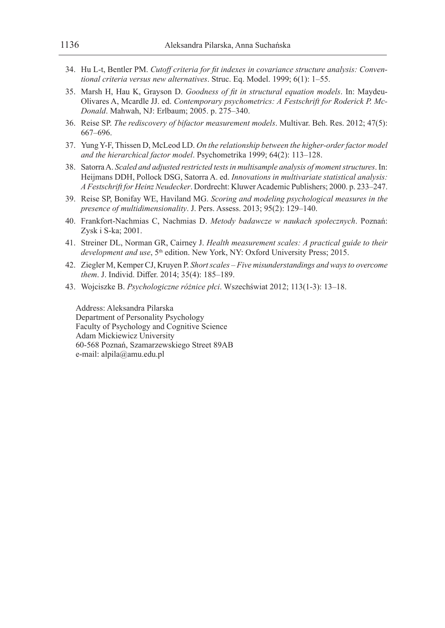- 34. Hu L-t, Bentler PM. *Cutoff criteria for fit indexes in covariance structure analysis: Conventional criteria versus new alternatives*. Struc. Eq. Model. 1999; 6(1): 1–55.
- 35. Marsh H, Hau K, Grayson D. *Goodness of fit in structural equation models*. In: Maydeu-Olivares A, Mcardle JJ. ed. *Contemporary psychometrics: A Festschrift for Roderick P. Mc-Donald*. Mahwah, NJ: Erlbaum; 2005. p. 275–340.
- 36. Reise SP. *The rediscovery of bifactor measurement models*. Multivar. Beh. Res. 2012; 47(5): 667–696.
- 37. Yung Y-F, Thissen D, McLeod LD. *On the relationship between the higher-order factor model and the hierarchical factor model*. Psychometrika 1999; 64(2): 113–128.
- 38. Satorra A. *Scaled and adjusted restricted tests in multisample analysis of moment structures*. In: Heijmans DDH, Pollock DSG, Satorra A. ed. *Innovations in multivariate statistical analysis: A Festschrift for Heinz Neudecker*. Dordrecht: Kluwer Academic Publishers; 2000. p. 233–247.
- 39. Reise SP, Bonifay WE, Haviland MG. *Scoring and modeling psychological measures in the presence of multidimensionality*. J. Pers. Assess. 2013; 95(2): 129–140.
- 40. Frankfort-Nachmias C, Nachmias D. *Metody badawcze w naukach społecznych*. Poznań: Zysk i S-ka; 2001.
- 41. Streiner DL, Norman GR, Cairney J. *Health measurement scales: A practical guide to their*  development and use, 5<sup>th</sup> edition. New York, NY: Oxford University Press; 2015.
- 42. Ziegler M, Kemper CJ, Kruyen P. *Short scales Five misunderstandings and ways to overcome them*. J. Individ. Differ. 2014; 35(4): 185–189.
- 43. Wojciszke B. *Psychologiczne różnice płci*. Wszechświat 2012; 113(1-3): 13–18.

Address: Aleksandra Pilarska Department of Personality Psychology Faculty of Psychology and Cognitive Science Adam Mickiewicz University 60-568 Poznań, Szamarzewskiego Street 89AB e-mail: alpila@amu.edu.pl